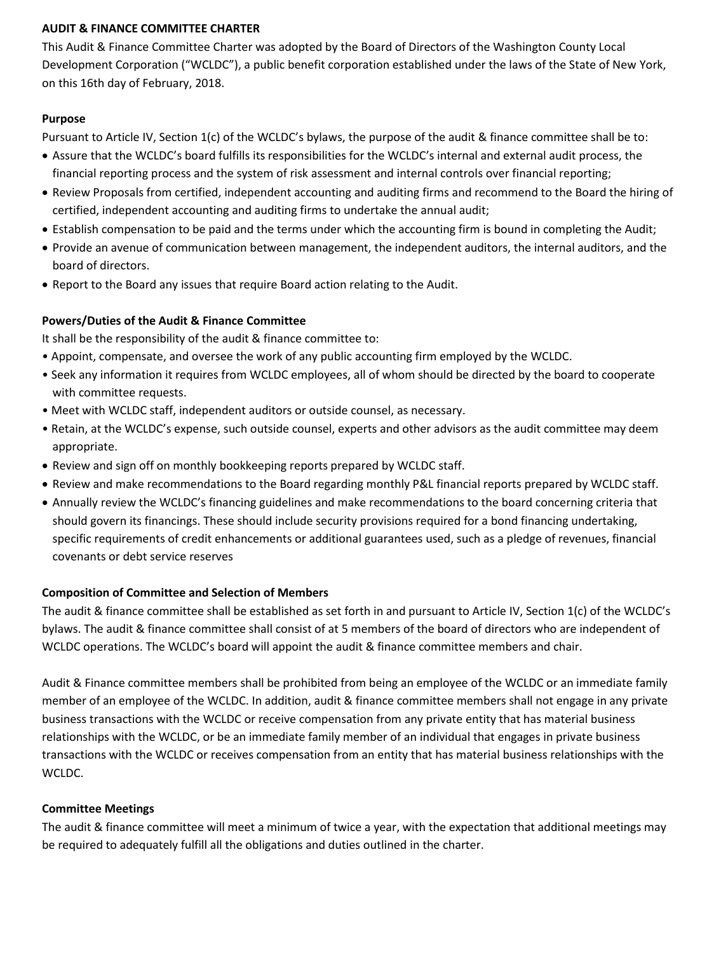## **AUDIT & FINANCE COMMITTEE CHARTER**

This Audit & Finance Committee Charter was adopted by the Board of Directors of the Washington County Local Development Corporation ("WCLDC"), a public benefit corporation established under the laws of the State of New York, on this 16th day of February, 2018.

### **Purpose**

Pursuant to Article IV, Section 1(c) of the WCLDC's bylaws, the purpose of the audit & finance committee shall be to:

- Assure that the WCLDC's board fulfills its responsibilities for the WCLDC's internal and external audit process, the financial reporting process and the system of risk assessment and internal controls over financial reporting;
- Review Proposals from certified, independent accounting and auditing firms and recommend to the Board the hiring of certified, independent accounting and auditing firms to undertake the annual audit;
- Establish compensation to be paid and the terms under which the accounting firm is bound in completing the Audit;
- Provide an avenue of communication between management, the independent auditors, the internal auditors, and the board of directors.
- Report to the Board any issues that require Board action relating to the Audit.

## **Powers/Duties of the Audit & Finance Committee**

It shall be the responsibility of the audit & finance committee to:

- Appoint, compensate, and oversee the work of any public accounting firm employed by the WCLDC.
- Seek any information it requires from WCLDC employees, all of whom should be directed by the board to cooperate with committee requests.
- Meet with WCLDC staff, independent auditors or outside counsel, as necessary.
- Retain, at the WCLDC's expense, such outside counsel, experts and other advisors as the audit committee may deem appropriate.
- Review and sign off on monthly bookkeeping reports prepared by WCLDC staff.
- Review and make recommendations to the Board regarding monthly P&L financial reports prepared by WCLDC staff.
- Annually review the WCLDC's financing guidelines and make recommendations to the board concerning criteria that should govern its financings. These should include security provisions required for a bond financing undertaking, specific requirements of credit enhancements or additional guarantees used, such as a pledge of revenues, financial covenants or debt service reserves

### **Composition of Committee and Selection of Members**

The audit & finance committee shall be established as set forth in and pursuant to Article IV, Section 1(c) of the WCLDC's bylaws. The audit & finance committee shall consist of at 5 members of the board of directors who are independent of WCLDC operations. The WCLDC's board will appoint the audit & finance committee members and chair.

Audit & Finance committee members shall be prohibited from being an employee of the WCLDC or an immediate family member of an employee of the WCLDC. In addition, audit & finance committee members shall not engage in any private business transactions with the WCLDC or receive compensation from any private entity that has material business relationships with the WCLDC, or be an immediate family member of an individual that engages in private business transactions with the WCLDC or receives compensation from an entity that has material business relationships with the WCLDC.

### **Committee Meetings**

The audit & finance committee will meet a minimum of twice a year, with the expectation that additional meetings may be required to adequately fulfill all the obligations and duties outlined in the charter.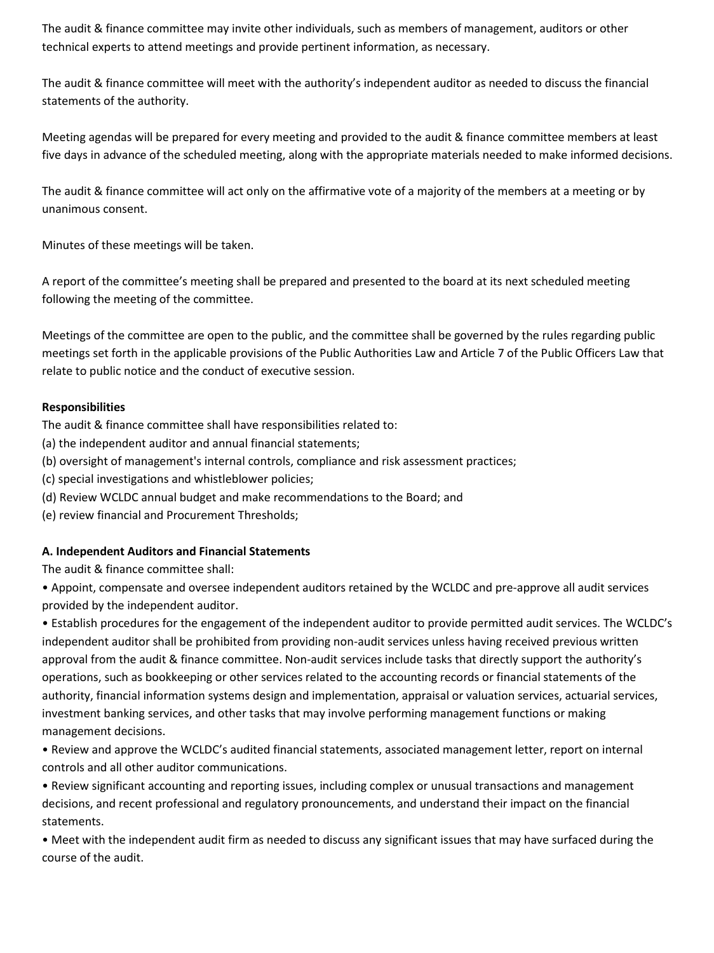The audit & finance committee may invite other individuals, such as members of management, auditors or other technical experts to attend meetings and provide pertinent information, as necessary.

The audit & finance committee will meet with the authority's independent auditor as needed to discuss the financial statements of the authority.

Meeting agendas will be prepared for every meeting and provided to the audit & finance committee members at least five days in advance of the scheduled meeting, along with the appropriate materials needed to make informed decisions.

The audit & finance committee will act only on the affirmative vote of a majority of the members at a meeting or by unanimous consent.

Minutes of these meetings will be taken.

A report of the committee's meeting shall be prepared and presented to the board at its next scheduled meeting following the meeting of the committee.

Meetings of the committee are open to the public, and the committee shall be governed by the rules regarding public meetings set forth in the applicable provisions of the Public Authorities Law and Article 7 of the Public Officers Law that relate to public notice and the conduct of executive session.

## **Responsibilities**

The audit & finance committee shall have responsibilities related to:

- (a) the independent auditor and annual financial statements;
- (b) oversight of management's internal controls, compliance and risk assessment practices;
- (c) special investigations and whistleblower policies;
- (d) Review WCLDC annual budget and make recommendations to the Board; and
- (e) review financial and Procurement Thresholds;

# **A. Independent Auditors and Financial Statements**

The audit & finance committee shall:

• Appoint, compensate and oversee independent auditors retained by the WCLDC and pre-approve all audit services provided by the independent auditor.

• Establish procedures for the engagement of the independent auditor to provide permitted audit services. The WCLDC's independent auditor shall be prohibited from providing non-audit services unless having received previous written approval from the audit & finance committee. Non-audit services include tasks that directly support the authority's operations, such as bookkeeping or other services related to the accounting records or financial statements of the authority, financial information systems design and implementation, appraisal or valuation services, actuarial services, investment banking services, and other tasks that may involve performing management functions or making management decisions.

• Review and approve the WCLDC's audited financial statements, associated management letter, report on internal controls and all other auditor communications.

• Review significant accounting and reporting issues, including complex or unusual transactions and management decisions, and recent professional and regulatory pronouncements, and understand their impact on the financial statements.

• Meet with the independent audit firm as needed to discuss any significant issues that may have surfaced during the course of the audit.